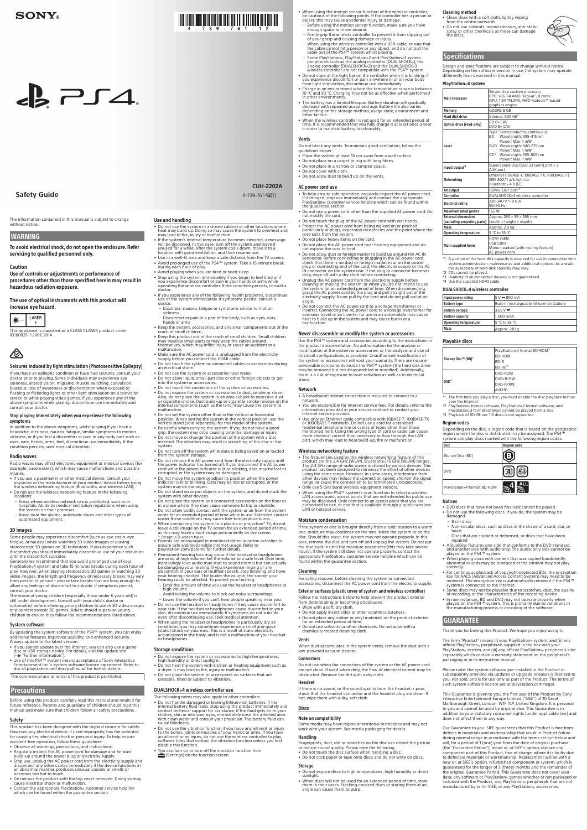# $\epsilon$   $\geq$   $\epsilon$   $\geq$   $\epsilon$

**Safety Guide** 

The information contained in this manual is subject to change without notice

# **WARNING**

To avoid electrical shock, do not open the enclosure. Refer servicing to qualified personnel only.

### **Caution**

Use of controls or adjustments or performance of procedures other than those specified herein may result in hazardous radiation exposure.

The use of optical instruments with this product will increase eye hazard.



This appliance is classified as a CLASS 1 LASER product under IEC60825-1:2007, 2014.



# Seizures induced by light stimulation (Photosensitive Epilepsy)

If you have an epileptic condition or have had seizures, consult your<br>doctor prior to playing. Some individuals may experience eye soreness, altered vision, migraine, muscle twitching, convulsion, blackout, loss of awareness or disorientation when exposed to<br>flashing or flickering lights or other light stimulation on a television screen or while playing video games. If you experience any of the

above symptoms while playing, discontinue use immediately and<br>consult your doctor.

**CUH-2202A** (1)4-739-761-**12**

- Do not block any vents. To maintain good ventilation, follow the auidelines below
- . Place the system at least 10 cm away from a wall surface
- Do not place on a carpet or rug with long fibres. . Do not place in a narrow or cramped space
- . Do not cover with cloth
- . Do not allow dust to build up on the vents

# AC power cord use

#### Stop playing immediately when you experience the following symptoms

in addition to the above symptoms, whilst playing if you have a headache, dizziness, nausea, fatigue, similar symptoms to motion<br>sickness, or if you feel a discomfort or pain in any body part such as eyes, ears, hands, arms, feet, discontinue use immediately. If the condition persists, seek medical attention.

#### **Radio waves**

Radio waves may affect electronic equipment or medical devices (for<br>example, pacemakers), which may cause malfunctions and possible .injuries

- If you use a pacemaker or other medical device, consult your<br>physician or the manufacturer of your medical device before using<br>the wireless networking feature (Bluetooth» and wireless LAN).
- Do not use the wireless networking feature in the following locations:<br>
- Areas where wireless network use is prohibited, such as in<br>
hospitals. Abide by medical institution regulations when using<br>
the system on their premises.<br>
- Areas near fire alarms, automatic doors and other t
- 
- automated equipment. 3D images

#### Some people may experience discomfort (such as eye strain, eye fatigue, or nausea) while watching 3D video images or playing stereoscopic 3D games on 3D televisions If you experience such discomfort you should immediately discontinue use of your television until the discomfort subsides.

Generally we recommend that you avoid prolonged use of your PlayStation®4 system and take 15 minutes breaks during each hour of play. However, when playing stereoscopic 3D games or watching 3D video images, the length and frequency of necessary breaks may vary<br>from person to person – please take breaks that are long enough to<br>allow any feelings of discomfort to subside. If symptoms persist, consult your doctor.

The vision of young children (especially those under 6 years old) is<br>still under development. Consult with your child's doctor or optometrist before allowing young children to watch 3D video images<br>or play stereoscopic 3D games. Adults should supervise young children to ensure they follow the recommendations listed above

# System software

# Use and handling

• Do not use the system in a closed cabinet or other locations where<br>heat may build up. Doing so may cause the system to overheat and<br>may lead to fire, injury or malfunction.

**THE REAL PROPERTY OF REAL PROPERTY OF REAL** 

- If the system's internal temperature becomes elevated, a message<br>will be displayed. In this case, turn off the system and leave it<br>unused for a while. After the system cools down, move it to a<br>location with good ventilat
- Use in a well-lit area and keep a safe distance from the TV screen
- Avoid prolonged use of the PS4™ system. Take a 15-minute break<br>• during each hour of play.
- Avoid playing when you are tired or need sleep.<br>• Stop using the system immediately if you begin to feel tired or if<br>you experience discomfort or pain in your hands or arms while<br>operating the wireless controller. If the
- If you experience any of the following health problems, discontinue<br>use of the system immediately. If symptoms persist, consult a doctor.
- Dizziness, nausea, fatigue or symptoms similar to motion
- sickness<br>– Discomfort or pain in a part of the body, such as eyes, ears,
- hands or arms • Keep the system, accessories, and any small components out of the reach of small children.
- reach of small children.<br>• Keep this product out of the reach of small children. Small children<br>may swallow small parts or may wrap the cables around<br>themselves, which may inflict injury or cause an accident or a<br>malfuncti
- 
- Make sure the AC power cord is unplugged from the electricity<br>• supply before you connect the HDMI cable. • Do not touch the system or connected cables or accessories during<br>an electrical storm.
- . Do not use the system or accessories near water
- Do not allow liquid, small particles or other foreign objects to get into the system or accessories.
- 
- Do not touch the connectors of the system or accessories.<br>• Do not expose the system or accessories to dust, smoke or steam.<br>Also, do not place the system in an area subject to excessive dust<br>or cigarette smoke. Dust bui
- Do not set the system other than in the vertical or horizontal position. When setting the system in the vertical position, use the<br>vertical stand (sold separately) for this model of the system.
- Be careful when carrying the system. If you do not have a good<br>• grip, the system may drop causing potential damage or injury.
- Do not move or change the position of the system with a disinserted. The vibration may result in scratching of the disc or the .system
- 
- Do not turn off the system while data is being saved on or loaded<br>from the system storage.<br>• Do not remove the AC power cord from the electricity supply until<br>the power indicator has turned off. If you disconnect the AC
- Do not move the system or adjust its position when the power<br>indicator is lit or blinking. Data may be lost or corrupted, or the<br>system may be damaged.
- Do not stand on or put objects on the system, and do not stack the system with other devices.
- Do not place the system and connected accessories on the floor or<br>in a place where they may cause someone to trip or stumble.<br>• Do not allow bodily contact with the system or air from the system
- vents for an extended period of time while in use. Extended contact<br>under these conditions may cause low-temperature burns.
- When connecting the system to a plasma or projection\* TV, do not leave a still image on the TV screen for an extended period of time,<br>as this may leave a faint image permanently on the screen.<br>\* Except LCD screen types<br>\*
- 
- Permanent hearing loss may occur if the headset or headphones<br>are used at high volume. Set the volume to a safe level. Over time, increasingly loud audio may start to sound normal but can actually be damaging your hearing. If you experience ringing or any<br>discomfort in your ears or muffled speech, stop listening and have your hearing checked. The louder the volume, the sooner your<br>hearing could be affected. To protect your hearing:
- Limit the amount of time you use the headset or headphones at Emine the an
- . surroundings in the volume to block out noisy surroundings.
- Lower the volume if you can't hear people speaking near you.<br>• Do not use the headset or headphones if they cause discomfort to
- your skin. If the headset or headphones cause discomfort to your<br>skin, discontinue use immediately. If symptoms do not subside<br>even after discontinuing use, seek medical attention. • When using the headset or headphones in particularly dry air
- 

• When using the motion sensor function of the wireless controller,<br>be cautious of the following points. If the controller hits a person or<br>object, this may cause accidental injury or damage.

Cleaning method

.outwards from the centre outwards

**Specifications** 

PlayStation®4 system

Main Processo

# Safety

This product has been designed with the highest concern for safety.<br>However, any electrical device, if used improperly, has the potential for causing fire, electrical shock or personal injury. To help ensure accident-free operation, follow these guidelines

- Observe all warnings, precautions, and instructions
- Regularly inspect the AC power cord for damage and for dust<br>build-up around the power plug or electricity supply.<br>• Stop use, unplug the AC power cord from the electricity supply and
- disconnect any other cables immediately if the device functions in an abnormal manner, produces unusual sounds or smells or becomes too hot to touch.
- Do not use the product with the top cover removed. Doing so may cause electrical shock or malfunction.
- Contact the appropriate PlayStation ⊗ customer service helpline which can be found within the guarantee section.

conditions, you may sometimes experience a small and quick<br>(static) shock on your ears. This is a result of static electricity<br>accumulated in the body, and is not a malfunction of your headset accumulated

### **Storage conditions**

- Do not expose the system or accessories to high temperatures, high humidity or direct sunlight.
- Do not heat the system with kitchen or heating equipment such as
- a dryer. It may lead to fire, injury or malfunction.<br>• Do not place the system or accessories on surfaces that are unstable, tilted or subject to vibration.

# DUALSHOCK®4 wireless controller use

The following notes may also apply to other controllers

- Do not handle damaged or leaking lithium-ion batteries. If the internal battery fluid leaks, stop using the product immediately and contact technical support for assistance. If the fluid gets on to your clothes, skin or
- Do not use the vibration function if you have any ailment or injury to the bones, joints or muscles of your hands or arms. If you have<br>an ailment or an injury, do not use the wireless controller to play<br>software titles that contain the vibration function unless you first disable this function.
- You can turn on or turn off the vibration function from<br> $\mathbf{f}$  (Settings) on the function screen.

for an extended period of time.<br>Do not use solvents or other ch • Do not use solvents or other chemicals. Do not wipe with a chemically-treated cleaning cloth.

- To help ensure safe operation, regularly inspect the AC power cord.<br>If damaged, stop use immediately and contact the appropriate<br>PlayStation® customer service helpline which can be found within<br>the guarantee section.
- Do not use a power cord other than the supplied AC power cord. Do• not modify the cord.
- Do not touch the plug of the AC power cord with wet hands.<br>• Protect the AC power cord from being walked on or pinched<br>• particularly at plugs, expansion receptacles and the point where the cord exits from the system.
- . Do not place heavy items on the cord
- Do not place the AC power cord near heating equipment and do<br>not expose the cord to heat.
- Do not allow dust or foreign matter to build up around the AC IN<br>connector. Before connecting or plugging in the AC power cord,<br>check that there is no dust or foreign matter in or on the power<br>plug or connecting end of
- Unplug the AC power cord from the electricity supply before<br>cleaning or moving the system, or when you do not intend to use<br>the system for an extended period of time. When disconnecting,<br>grasp the AC power cord by the pl angle
- Do not connect the AC power cord to a voltage transformer or<br>inverter. Connecting the AC power cord to a voltage transformer for<br>overseas travel or an inverter for use in an automobile may cause<br>heat to build up in the s .malfunction

# Never disassemble or modify the system or accessories

Use the PS4™ system and accessories according to the instructions in the product documentation. No authorisation for the analysis or modification of the system or accessories, or the analysis and use of<br>its circuit configurations, is provided. Unauthorised modification of the system or accessories will void your warranty. There are no user<br>serviceable components inside the PS4™ system (the hard disk drive<br>may be removed but not disassembled or modified). Additionally, there is a risk of exposure to laser radiation as well as to electrical .shock

- .network • You are responsible for Internet service fees. For details, refer to the<br>information provided in your service contract or contact your<br>Internet service provider.
- Use only an Ethernet cable compatible with 10BASE-T, 100BASE-TX<br>or 1000BASE-T networks. Do not use a cord for a standard<br>residential telephone line or cables of types other than those<br>mentioned here. Using the wrong type

# Wireless networking feature

- The frequencies used by the wireless networking feature of this product are the 2.4 GHz (WLAN) Ruetooths)/5 GHz (WLAN) ranges. The 2.4 GHz range of radio waves is shared by various devices. This product has been designe
- Only use 5 GHz band wireless equipment indoors.
- When using the PS4<sup>TM</sup> system's scan function to select a wireless point, access points that are not intended for public use may be displayed. Only connect to an access point that you are away be displayed. Only connect

### **Moisture condensation**

If the system or disc is brought directly from a cold location to a warm one, moisture may condense on the lens inside the system or on the the may system the system may not operate properly. In this disc. Should this occur, the system may not operate properly. In this case, remove the disc and turn off and unplug the system. Do not put the disc back in until the moisture evaporates (this may take severa the contact the contact the contact the interesting operate properly, contact the appropriate PlayStation® customer service helpline which can be found within the guarantee section.

# Vents

#### Network

• A broadband Internet connection is required to connect to a

# Cleaning

For safety reasons, before cleaning the system or connected<br>accessories, disconnect the AC power cord from the electricity supply.

# Exterior surfaces (plastic cover of system and wireless controller)

Follow the instructions below to help prevent the product exterior<br>from deteriorating or becoming discoloured. . Wipe with a soft, dry cloth.

• Do not apply insecticides or other volatile substances • Do not place any rubber or vinyl materials on the product exterior

By updating the system software of the PS4<sup>™</sup> system, you can enjoy additional features, improved usability, and enhanced security.<br>Always update to the latest version.

- If you cannot update over the Internet, you can also use a game<br>disc or USB storage device. For details, visit the update site<br>(…) "Further information").
- Use of this PS4™ system means acceptance of Sony Interactive<br>Entertainment Inc.'s system software licence agreement. Refer to<br>doc.dl.playstation.net/doc/ps4-eula/ for further details.

The commercial use or rental of this product is prohibited.

# **Precautions**

Before using this product, carefully read this manual and retain it for future reference. Parents and guardians of children should read this manual and make sure that children follow all safety precautions.

### Vents

When dust accumulates in the system vents, remove the dust with a low-powered vacuum cleaner

#### Connectors

Do not use when the connectors of the system or the AC power cord are not clean. If used when dirty, the flow of electrical current may be obstructed. Remove the dirt with a dry cloth.

#### Headset

If there is no sound, or the sound quality from the headset is poor. check that the headset connector and the headset plug are clean. If<br>not, wipe them with a dry, soft cloth.

#### **Discs**

#### Note on compatibility

Some media may have region or territorial restrictions and may not work with your system. See media packaging for details.

#### Handling

Fingerprints, dust, dirt or scratches on the disc can distort the picture

- or reduce sound quality. Please note the following.<br>• Do not touch the disc surface when handling a disc.
- . Do not stick paper or tape onto discs and do not write on discs.

#### **Storage**

- Do not expose discs to high temperatures, high humidity or direct sunlight.<br>• When discs will not be used for an extended period of time, store
- them in their cases. Stacking uncased discs or storing them at an<br>angle can cause them to warp.

Thank you for buying this Product. We hope you enjoy using it.

The term "Product" means (i) your PlayStation® system, and (ii) any official PlayStation<sub>®</sub> peripherals supplied in the box with your<br>PlayStation® system, and (iii) any official PlayStation® peripherals sold separately which contain a warranty statement on the peripheral's packaging or in its instruction manual.

Please note: the system software pre-installed in the Product or subsequently provided via updates or upgrade releases is licensed to<br>you, not sold, and is for use only as part of the Product. The terms of such system software licence are at playstation.com/legal.

This Guarantee is given to you, the first user of the Product by Sony Interactive Entertainment Europe Limited ("SIEE") of 10 Great Marlborough Street, London, W1F 7LP, United Kingdom. It is personal<br>to you and cannot be used by anyone else. This Guarantee is in addition to your statutory consumer rights (under applicable law) and does not affect them in any way.

Our Guarantee to you: SIEE guarantees that this Product is free from defects in materials and workmanship that result in Product failure<br>during normal usage in accordance with the terms set out below and will, for a period of 1 (one) year from the date of original purchase (the "Guarantee Period"), repair or, at SIEE's option, replace any<br>component part of this Product, free of charge, where it is faulty due<br>to defective materials or workmanship. Replacement will be with a new or, at SIEE's option, refurbished component or system, which is<br>guaranteed for the longer of 3 (three) months and the remainder of<br>the original Guarantee Period. This Guarantee does not cover your data; any software or PlayStation<sub>®</sub> games whether or not packaged or<br>included with the Product; any PlayStation® peripherals that are not<br>manufactured by or for SIEE; or any PlayStation® accessories.

Laser

1put/output rking

lectrical rating

ivternal dimensions (excluding projecting parts

Main supplied items

\*2 CDs cannot be played.

Playable discs

14 - Yur Disc™ (BD)

DVD.

**Region codes** 

(BD) Blu-ray Disc

Notices

– 8 cm discs

heart

repaired

.correctly

GUARANTEE

 $\begin{picture}(40,10) \put(0,0){\line(1,0){10}} \put(15,0){\line(1,0){10}} \put(15,0){\line(1,0){10}} \put(15,0){\line(1,0){10}} \put(15,0){\line(1,0){10}} \put(15,0){\line(1,0){10}} \put(15,0){\line(1,0){10}} \put(15,0){\line(1,0){10}} \put(15,0){\line(1,0){10}} \put(15,0){\line(1,0){10}} \put(15,0){\line(1,0){10}} \put(15,0){\line(1$ 

PlayStation®4 format BD-ROM **ALL** 

• DVD discs that have not been finalised cannot be played. • Do not use the following discs. If you do, the system may be<br>damaged.

Non-circular discs, such as discs in the shape of a card, star, or

- Discs that are cracked or deformed, or discs that have been

• A DualDisc features one side that conforms to the DVD standard,<br>and another side with audio only. The audio-only side cannot be<br>played on the PS4™ system. When playing discs with content that was copied fraudulently abnormal sounds may be produced or the content may not play

• For continuous playback of copyright-protected BDs, the encryption<br>key for AACS (Advanced Access Content System) may need to be<br>renewed. The encryption key is automatically renewed if the PS4™<br>system is connected to the  $\frac{1}{2}$  Some discs may not be playable due to scratches, dust, the quality of recording, or the characteristics of the recording device اس In rare instances, BD and DVD may not operate properly when<br>played on the PS4™ system. This is primarily due to variations in<br>the manufacturing process or encoding of the software.

\*4 Use the supplied HDMI cable DUALSHOCK®4 wireless controller  $\vert$ Input power rating  $\vert$  5 V  $\equiv$  800 mA

Battery voltage  $3.65 \vee \frac{1}{2}$ Battery capacity **Battery** capacity **Battery** capacity **Operating temperature**  $\left|5 \degree \text{C} \text{ to } 35 \degree \text{C}\right|$  $M$ ass  $\alpha$  210  $\alpha$ 

• Clean discs with a soft cloth, lightly wiping

differently than described in this manual.

Memory GDDR5 8 GB lard disk drive | Internal, 500 GB  $\begin{array}{|c|c|c|}\n\hline\n\text{obtical drive (read-only)} & \text{BD 6} \times \text{CAV} \\
\hline\n\end{array}$ 

AV output HDMI o UT port

Mass Approx. 2.0 kg **Operating temperature**  $\left|5 \degree C \right|$  to 35  $\degree C$ 

Maximum rated power 165 W

• Do not use solvents, record cleaners, anti-static<br>spray or other chemicals as these can damage<br>the discs.

Design and specifications are subject to change without notice. Depending on the software version in use, the system may operate

graphics engine

DVD 8x CAV

Bluetooth® 4.0 (LE)

DUALSHOCK & 4 wir 220-240 V  $\sim$  0.8 A

Approx.  $265 \times 39 \times 288$  mm  $(\text{width} \times \text{height} \times \text{depth})$ 

Mono headset (with muting feature)

PlayStation®4 format BD-ROM<sup>\*2</sup>

50/60 Hz

**HDMI** cable USB cable

AC power cord \*1 A portion of the hard disk capacity is reserved for use in connection with system administration, maintenance and additional options. As a result,

Battery type **Built-in rechargeable lithium-ion battery** 

BD-ROM BD-R BD-RE<sup>\*3</sup>

DVD-ROM DVD+R/RW DVD-R/RW AVCHD \*1 The first time you play a disc, you must enable the disc playback feature<br>over the Internet. \*2 PlayStation® format software, PlayStation® 2 format software, and PlayStation®3 format software cannot be played from a disc \*3 Playback of BD-RE ver. 1.0 discs is not supported.

Depending on the disc, a region code that is based on the geographic<br>region where the disc is distributed may be assigned. The PS4™ system can play discs marked with the following region codes. **Region code** 

 $\bigcirc$ 

the availability of hard disk capacity may vary.

<sup>\*</sup>3 Usability of all connected devices is not quaranteed.

Single-chip custom processor<br>CPU: x86-64 AMD "Jaguar", 8 cores<br>GPU: 1.84 TFLOPS, AMD Radeon™ based

Type: Semiconductor, continuous<br>BD Wavelength: 395-415 nm BD Wavelength: 395-415 nm<br>Power: Max. 1 mW DVD Wavelength: 640-675 nm<br>Power: Max. 1 mW<br>CD'<sup>2</sup> Wavelength: 765-805 nm Power: Max. 1 mW SuperSpeed USB (USB 3.1 Gen1) port × 2<br>AUX port

Ethernet (10BASE-T, 100BASE-TX, 1000BASE-T)<br>IEEE 802.11 a/b/g/n/ac

- Before using the motion sensor function, make sure you have enough space to move around.
- Firmly grip the wireless controller to prevent it from slipping out<br>- When using b and causing damage or injury.<br>- When using the wireless controller with a USB cable, ensure that<br>- the cable cannot hit a person or any
- Some PlayStation and PlayStation and PlayStation and System–<br>
peripherals such as the analog controller (DUALSHOCK), the<br>
peripherals such peripherals (DUALSHOCK), the analog componer (DORDITOCK Z) and the DORDITOCK CONTROLLER are and and DORDITOCK the and and discussion and discussion with the analogue with the analogue and analogue with the analogue with the analogue with the analogue
- Do not stare at the light bar on the controller when it is blinking. If<br>you experience discomfort or pain anywhere in or on your body<br>from light stimulation, discontinue use immediately.
- Charge in an environment where the temperature range is between<br>10 °C and 30 °C. Charging may not be as effective when performed<br>in other environments.
- The battery has a limited lifespan. Battery duration will gradually<br>decrease with repeated usage and age. Battery life also varies<br>depending on the storage method, usage state, environment and<br>other factors.
- When the wireless controller is not used for an extended period of time, it is recommended that you fully charge it at least once a year in order to maintain battery functionality.